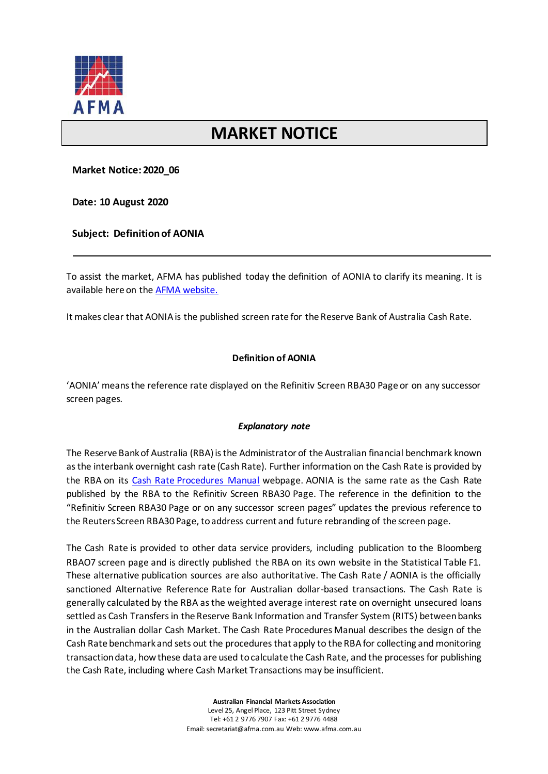

## **MARKET NOTICE**

**Market Notice: 2020\_06**

**Date: 10 August 2020**

**Subject: Definition of AONIA**

To assist the market, AFMA has published today the definition of AONIA to clarify its meaning. It is available here on the [AFMA website.](https://afma.com.au/policy/topics/IBOR-Transition/benchmarks-ibor-transition-aonia-definition)

It makes clear that AONIAis the published screen rate for the Reserve Bank of Australia Cash Rate.

## **Definition of AONIA**

'AONIA' means the reference rate displayed on the Refinitiv Screen RBA30 Page or on any successor screen pages.

## *Explanatory note*

The Reserve Bank of Australia (RBA) is the Administrator of the Australian financial benchmark known as the interbank overnight cash rate (Cash Rate). Further information on the Cash Rate is provided by the RBA on its [Cash Rate Procedures Manual](https://www.rba.gov.au/mkt-operations/resources/cash-rate-methodology/cash-rate-procedures-manual.html) webpage. AONIA is the same rate as the Cash Rate published by the RBA to the Refinitiv Screen RBA30 Page. The reference in the definition to the "Refinitiv Screen RBA30 Page or on any successor screen pages" updates the previous reference to the Reuters Screen RBA30 Page, to address current and future rebranding of the screen page.

The Cash Rate is provided to other data service providers, including publication to the Bloomberg RBAO7 screen page and is directly published the RBA on its own website in the Statistical Table F1. These alternative publication sources are also authoritative. The Cash Rate / AONIA is the officially sanctioned Alternative Reference Rate for Australian dollar-based transactions. The Cash Rate is generally calculated by the RBA as the weighted average interest rate on overnight unsecured loans settled as Cash Transfers in the Reserve Bank Information and Transfer System (RITS) between banks in the Australian dollar Cash Market. The Cash Rate Procedures Manual describes the design of the Cash Rate benchmark and sets out the procedures that apply to the RBA for collecting and monitoring transaction data, how these data are used to calculate the Cash Rate, and the processes for publishing the Cash Rate, including where Cash Market Transactions may be insufficient.